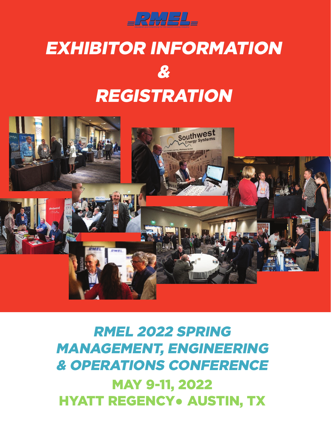

# Exhibitor Information & **REGISTRATION**



## RMEL 2022 Spring Management, Engineering & Operations Conference MAY 9-11, 2022 **HYATT REGENCY• AUSTIN, TX**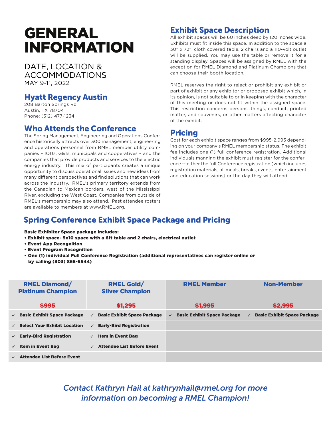### **GENERAL** Information

DATE, LOCATION & Accommodations May 9-11, 2022

#### Hyatt Regency Austin

208 Barton Springs Rd Austin, TX 78704 Phone: (512) 477-1234

#### Who Attends the Conference

The Spring Management, Engineering and Operations Conference historically attracts over 300 management, engineering and operations personnel from RMEL member utility companies – IOUs, G&Ts, municipals and cooperatives – and the companies that provide products and services to the electric energy industry. This mix of participants creates a unique opportunity to discuss operational issues and new ideas from many different perspectives and find solutions that can work across the industry. RMEL's primary territory extends from the Canadian to Mexican borders, west of the Mississippi River, excluding the West Coast. Companies from outside of RMEL's membership may also attend. Past attendee rosters are available to members at www.RMEL.org.

#### Exhibit Space Description

All exhibit spaces will be 60 inches deep by 120 inches wide. Exhibits must fit inside this space. In addition to the space a 30" x 72", cloth covered table, 2 chairs and a 110-volt outlet will be supplied. You may use the table or remove it for a standing display. Spaces will be assigned by RMEL with the exception for RMEL Diamond and Platinum Champions that can choose their booth location.

RMEL reserves the right to reject or prohibit any exhibit or part of exhibit or any exhibitor or proposed exhibit which, in its opinion, is not suitable to or in keeping with the character of this meeting or does not fit within the assigned space. This restriction concerns persons, things, conduct, printed matter, and souvenirs, or other matters affecting character of the exhibit.

#### Pricing

Cost for each exhibit space ranges from \$995-2,995 depending on your company's RMEL membership status. The exhibit fee includes one (1) full conference registration. Additional individuals manning the exhibit must register for the conference -- either the full Conference registration (which includes registration materials, all meals, breaks, events, entertainment and education sessions) or the day they will attend.

### Spring Conference Exhibit Space Package and Pricing

Basic Exhibitor Space package includes:

- Exhibit space- 5x10 space with a 6ft table and 2 chairs, electrical outlet
- Event App Recognition
- Event Program Recognition
- One (1) individual Full Conference Registration (additional representatives can register online or by calling (303) 865-5544)

| <b>RMEL Diamond/</b><br><b>Platinum Champion</b> | <b>RMEL Gold/</b><br><b>Silver Champion</b>        | <b>RMEL Member</b>                                 | <b>Non-Member</b>                                  |
|--------------------------------------------------|----------------------------------------------------|----------------------------------------------------|----------------------------------------------------|
| \$995                                            | \$1,295                                            | \$1,995                                            | \$2,995                                            |
| $\checkmark$ Basic Exhibit Space Package         | <b>Basic Exhibit Space Package</b><br>$\checkmark$ | <b>Basic Exhibit Space Package</b><br>$\checkmark$ | <b>Basic Exhibit Space Package</b><br>$\checkmark$ |
| $\checkmark$ Select Your Exhibit Location        | <b>Early-Bird Registration</b><br>$\checkmark$     |                                                    |                                                    |
| $\checkmark$ Early-Bird Registration             | $\checkmark$ Item in Event Bag                     |                                                    |                                                    |
| $\checkmark$ Item in Event Bag                   | <b>Attendee List Before Event</b><br>$\checkmark$  |                                                    |                                                    |
| <b>Attendee List Before Event</b>                |                                                    |                                                    |                                                    |

### *Contact Kathryn Hail at kathrynhail@rmel.org for more information on becoming a RMEL Champion!*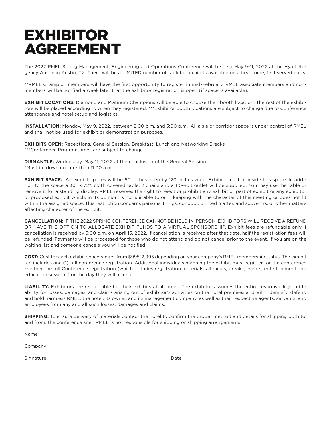### EXHIBITOR AGREEMENT

The 2022 RMEL Spring Management, Engineering and Operations Conference will be held May 9-11, 2022 at the Hyatt Regency Austin in Austin, TX. There will be a LIMITED number of tabletop exhibits available on a first come, first served basis.

\*\*RMEL Champion members will have the first opportunity to register in mid-February. RMEL associate members and nonmembers will be notified a week later that the exhibitor registration is open (if space is available).

**EXHIBIT LOCATIONS:** Diamond and Platinum Champions will be able to choose their booth location. The rest of the exhibitors will be placed according to when they registered. \*\*\*Exhibitor booth locations are subject to change due to Conference attendance and hotel setup and logistics.

**INSTALLATION:** Monday, May 9, 2022, between 2:00 p.m. and 5:00 p.m. All aisle or corridor space is under control of RMEL and shall not be used for exhibit or demonstration purposes.

**EXHIBITS OPEN:** Receptions, General Session, Breakfast, Lunch and Networking Breaks \*\*\*Conference Program times are subject to change.

**DISMANTLE:** Wednesday, May 11, 2022 at the conclusion of the General Session \*Must be down no later than 11:00 a.m.

**EXHIBIT SPACE:** All exhibit spaces will be 60 inches deep by 120 inches wide. Exhibits must fit inside this space. In addition to the space a 30" x 72", cloth covered table, 2 chairs and a 110-volt outlet will be supplied. You may use the table or remove it for a standing display. RMEL reserves the right to reject or prohibit any exhibit or part of exhibit or any exhibitor or proposed exhibit which, in its opinion, is not suitable to or in keeping with the character of this meeting or does not fit within the assigned space. This restriction concerns persons, things, conduct, printed matter, and souvenirs, or other matters affecting character of the exhibit.

**CANCELLATION:** IF THE 2022 SPRING CONFERENCE CANNOT BE HELD IN-PERSON, EXHIBITORS WILL RECEIVE A REFUND OR HAVE THE OPTION TO ALLOCATE EXHIBIT FUNDS TO A VIRTUAL SPONSORSHIP. Exhibit fees are refundable only if cancellation is received by 5:00 p.m. on April 15, 2022. If cancellation is received after that date, half the registration fees will be refunded. Payments will be processed for those who do not attend and do not cancel prior to the event. If you are on the waiting list and someone cancels you will be notified.

**COST:** Cost for each exhibit space ranges from \$995-2,995 depending on your company's RMEL membership status. The exhibit fee includes one (1) full conference registration. Additional individuals manning the exhibit must register for the conference -- either the full Conference registration (which includes registration materials, all meals, breaks, events, entertainment and education sessions) or the day they will attend.

**LIABILITY:** Exhibitors are responsible for their exhibits at all times. The exhibitor assumes the entire responsibility and liability for losses, damages, and claims arising out of exhibitor's activities on the hotel premises and will indemnify, defend and hold harmless RMEL, the hotel, its owner, and its management company, as well as their respective agents, servants, and employees from any and all such losses, damages and claims.

**SHIPPING:** To ensure delivery of materials contact the hotel to confirm the proper method and details for shipping both to, and from, the conference site. RMEL is not responsible for shipping or shipping arrangements.

| Name                  |      |
|-----------------------|------|
| Company<br>______     |      |
| Signature_<br>_______ | Date |